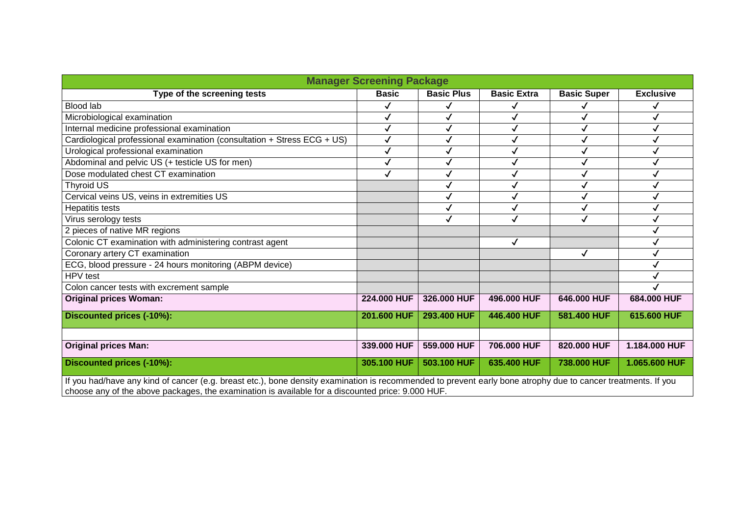| <b>Manager Screening Package</b>                                                                                                                              |              |                   |                    |                    |                  |
|---------------------------------------------------------------------------------------------------------------------------------------------------------------|--------------|-------------------|--------------------|--------------------|------------------|
| Type of the screening tests                                                                                                                                   | <b>Basic</b> | <b>Basic Plus</b> | <b>Basic Extra</b> | <b>Basic Super</b> | <b>Exclusive</b> |
| <b>Blood lab</b>                                                                                                                                              | ✓            |                   |                    |                    |                  |
| Microbiological examination                                                                                                                                   | $\checkmark$ |                   |                    |                    |                  |
| Internal medicine professional examination                                                                                                                    | $\checkmark$ |                   | $\checkmark$       |                    | $\checkmark$     |
| Cardiological professional examination (consultation + Stress ECG + US)                                                                                       | ✓            |                   | ✓                  |                    |                  |
| Urological professional examination                                                                                                                           | ✓            |                   | ✓                  |                    |                  |
| Abdominal and pelvic US (+ testicle US for men)                                                                                                               | ✓            |                   |                    |                    | ✓                |
| Dose modulated chest CT examination                                                                                                                           | $\checkmark$ |                   |                    |                    |                  |
| Thyroid US                                                                                                                                                    |              |                   | √                  |                    |                  |
| Cervical veins US, veins in extremities US                                                                                                                    |              |                   | ✓                  |                    |                  |
| <b>Hepatitis tests</b>                                                                                                                                        |              |                   |                    |                    |                  |
| Virus serology tests                                                                                                                                          |              |                   | √                  |                    |                  |
| 2 pieces of native MR regions                                                                                                                                 |              |                   |                    |                    |                  |
| Colonic CT examination with administering contrast agent                                                                                                      |              |                   | $\checkmark$       |                    |                  |
| Coronary artery CT examination                                                                                                                                |              |                   |                    | $\checkmark$       |                  |
| ECG, blood pressure - 24 hours monitoring (ABPM device)                                                                                                       |              |                   |                    |                    |                  |
| HPV test                                                                                                                                                      |              |                   |                    |                    |                  |
| Colon cancer tests with excrement sample                                                                                                                      |              |                   |                    |                    |                  |
| <b>Original prices Woman:</b>                                                                                                                                 | 224.000 HUF  | 326.000 HUF       | 496.000 HUF        | 646.000 HUF        | 684.000 HUF      |
| Discounted prices (-10%):                                                                                                                                     | 201.600 HUF  | 293.400 HUF       | 446.400 HUF        | 581.400 HUF        | 615.600 HUF      |
|                                                                                                                                                               |              |                   |                    |                    |                  |
| <b>Original prices Man:</b>                                                                                                                                   | 339,000 HUF  | 559,000 HUF       | 706,000 HUF        | 820,000 HUF        | 1.184.000 HUF    |
| Discounted prices (-10%):                                                                                                                                     | 305.100 HUF  | 503.100 HUF       | 635.400 HUF        | 738.000 HUF        | 1.065.600 HUF    |
| If you had/have any kind of cancer (e.g. breast etc.), bone density examination is recommended to prevent early bone atrophy due to cancer treatments. If you |              |                   |                    |                    |                  |
| choose any of the above packages, the examination is available for a discounted price: 9.000 HUF.                                                             |              |                   |                    |                    |                  |